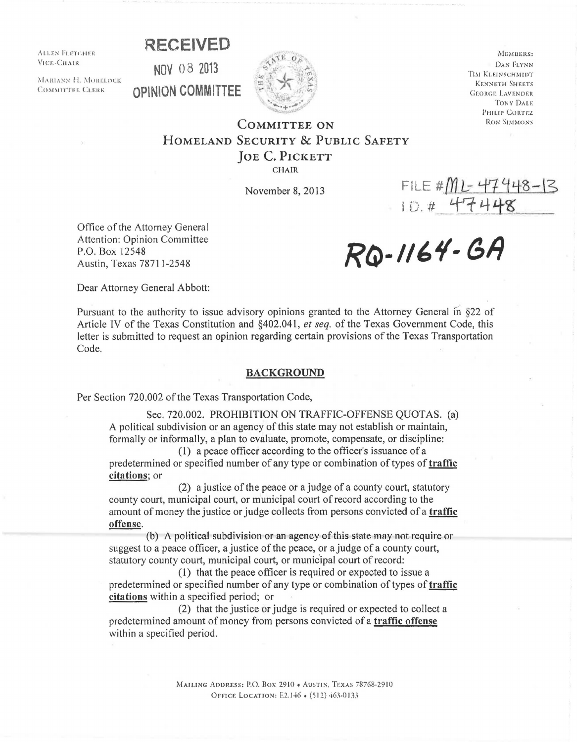**RECEIVED** 

ALLEN FLETCHER. VICE-CHAIR

MARIANN H. MORELOCK COMMITTEE CLERK





MEMBERS: DAN FLYNN TIM KLEINSCHMIDT KENNETH SHEETS GEORGE LAVENDER TONY DALE PHILIP CORTEZ RON SIMMONS

## CoMMITTEE oN HoMELAND SECURITY & PuBLIC SAFETY JOE C. PICKETT

CHAIR

Office of the Attorney General<br>Attention: Opinion Committee<br>P.O. Box 12548<br>Austin, Texas 78711-2548<br>Austin, Texas 78711-2548 Attention: Opinion Committee P.O. Box 12548 Austin, Texas 78711-2548

November 8, 2013 FILE # $M L$ - 47 448-  $\leq$ 

Dear Attorney General Abbott:

Pursuant to the authority to issue advisory opinions granted to the Attorney General in §22 of Article IV of the Texas Constitution and §402.041, *et seq.* of the Texas Government Code, this letter is submitted to request an opinion regarding certain provisions of the Texas Transportation Code.

## BACKGROUND

Per Section 720.002 of the Texas Transportation Code,

Sec. 720.002. PROHIBITION ON TRAFFIC-OFFENSE QUOTAS. (a) A political subdivision or an agency of this state may not establish or maintain, formally or informally, a plan to evaluate, promote, compensate, or discipline:

(1) a peace officer according to the officer's issuance of a predetermined or specified number of any type or combination of types of *traffic* citations; or

(2) a justice of the peace or a judge of a county court, statutory county court, municipal court, or municipal court of record according to the amount of money the justice or judge collects from persons convicted of a **traffic** offense.

(b)  $\Lambda$  political subdivision or an agency of this state may not require or suggest to a peace officer, a justice of the peace, or a judge of a county court, statutory county court, municipal court, or municipal court of record:

( 1) that the peace officer is required or expected to issue a predetermined or specified number of any type or combination of types of traffic citations within a specified period; or

(2) that the justice or judge is required or expected to collect a predetermined amount of money from persons convicted of a traffic offense within a specified period.